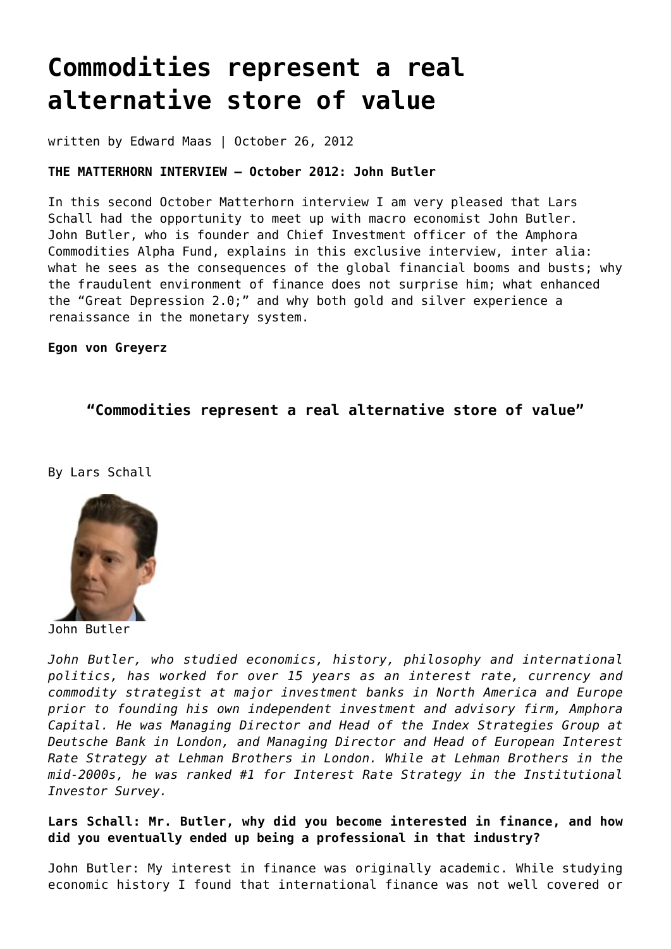# **[Commodities represent a real](https://goldswitzerland.com/commodities-represent-a-real-alternative-store-of-value/) [alternative store of value](https://goldswitzerland.com/commodities-represent-a-real-alternative-store-of-value/)**

written by Edward Maas | October 26, 2012

## **THE MATTERHORN INTERVIEW – October 2012: John Butler**

In this second October Matterhorn interview I am very pleased that Lars Schall had the opportunity to meet up with macro economist John Butler. John Butler, who is founder and Chief Investment officer of the Amphora Commodities Alpha Fund, explains in this exclusive interview, inter alia: what he sees as the consequences of the global financial booms and busts; why the fraudulent environment of finance does not surprise him; what enhanced the "Great Depression 2.0;" and why both gold and silver experience a renaissance in the monetary system.

**Egon von Greyerz**

# **"Commodities represent a real alternative store of value"**

By Lars Schall



John Butler

*John Butler, who studied economics, history, philosophy and international politics, has worked for over 15 years as an interest rate, currency and commodity strategist at major investment banks in North America and Europe prior to founding his own independent investment and advisory firm, Amphora Capital. He was Managing Director and Head of the Index Strategies Group at Deutsche Bank in London, and Managing Director and Head of European Interest Rate Strategy at Lehman Brothers in London. While at Lehman Brothers in the mid-2000s, he was ranked #1 for Interest Rate Strategy in the Institutional Investor Survey.*

# **Lars Schall: Mr. Butler, why did you become interested in finance, and how did you eventually ended up being a professional in that industry?**

John Butler: My interest in finance was originally academic. While studying economic history I found that international finance was not well covered or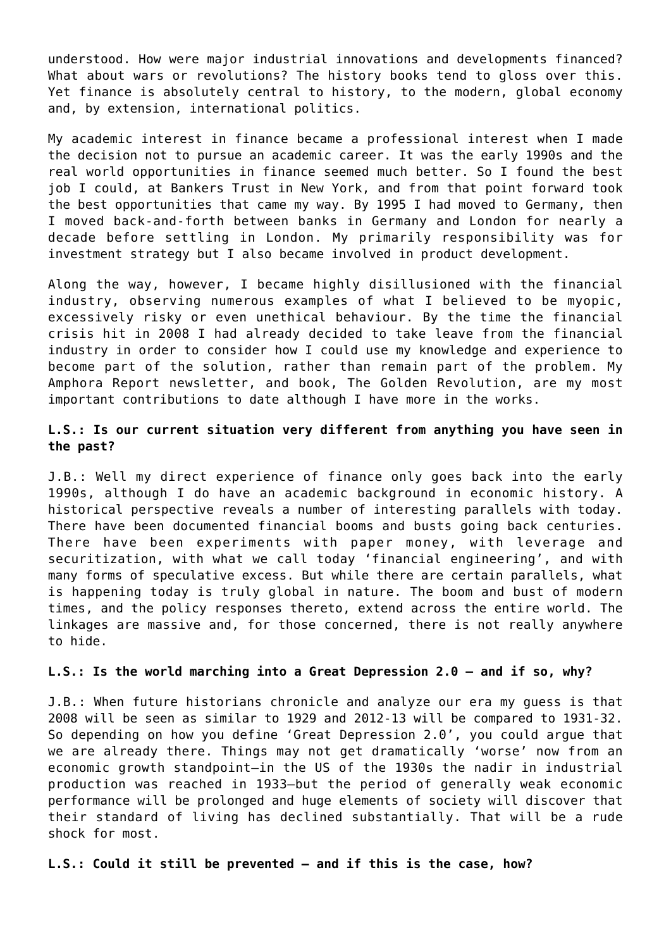understood. How were major industrial innovations and developments financed? What about wars or revolutions? The history books tend to gloss over this. Yet finance is absolutely central to history, to the modern, global economy and, by extension, international politics.

My academic interest in finance became a professional interest when I made the decision not to pursue an academic career. It was the early 1990s and the real world opportunities in finance seemed much better. So I found the best job I could, at Bankers Trust in New York, and from that point forward took the best opportunities that came my way. By 1995 I had moved to Germany, then I moved back-and-forth between banks in Germany and London for nearly a decade before settling in London. My primarily responsibility was for investment strategy but I also became involved in product development.

Along the way, however, I became highly disillusioned with the financial industry, observing numerous examples of what I believed to be myopic, excessively risky or even unethical behaviour. By the time the financial crisis hit in 2008 I had already decided to take leave from the financial industry in order to consider how I could use my knowledge and experience to become part of the solution, rather than remain part of the problem. My Amphora Report newsletter, and book, The Golden Revolution, are my most important contributions to date although I have more in the works.

## **L.S.: Is our current situation very different from anything you have seen in the past?**

J.B.: Well my direct experience of finance only goes back into the early 1990s, although I do have an academic background in economic history. A historical perspective reveals a number of interesting parallels with today. There have been documented financial booms and busts going back centuries. There have been experiments with paper money, with leverage and securitization, with what we call today 'financial engineering', and with many forms of speculative excess. But while there are certain parallels, what is happening today is truly global in nature. The boom and bust of modern times, and the policy responses thereto, extend across the entire world. The linkages are massive and, for those concerned, there is not really anywhere to hide.

## **L.S.: Is the world marching into a Great Depression 2.0 – and if so, why?**

J.B.: When future historians chronicle and analyze our era my guess is that 2008 will be seen as similar to 1929 and 2012-13 will be compared to 1931-32. So depending on how you define 'Great Depression 2.0', you could argue that we are already there. Things may not get dramatically 'worse' now from an economic growth standpoint–in the US of the 1930s the nadir in industrial production was reached in 1933–but the period of generally weak economic performance will be prolonged and huge elements of society will discover that their standard of living has declined substantially. That will be a rude shock for most.

## **L.S.: Could it still be prevented – and if this is the case, how?**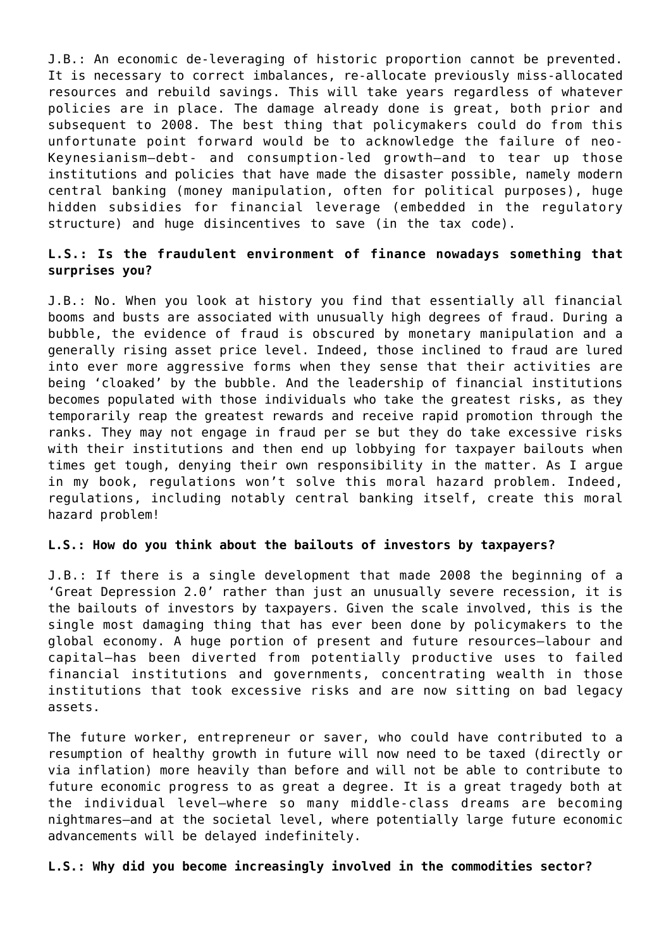J.B.: An economic de-leveraging of historic proportion cannot be prevented. It is necessary to correct imbalances, re-allocate previously miss-allocated resources and rebuild savings. This will take years regardless of whatever policies are in place. The damage already done is great, both prior and subsequent to 2008. The best thing that policymakers could do from this unfortunate point forward would be to acknowledge the failure of neo-Keynesianism–debt- and consumption-led growth–and to tear up those institutions and policies that have made the disaster possible, namely modern central banking (money manipulation, often for political purposes), huge hidden subsidies for financial leverage (embedded in the regulatory structure) and huge disincentives to save (in the tax code).

## **L.S.: Is the fraudulent environment of finance nowadays something that surprises you?**

J.B.: No. When you look at history you find that essentially all financial booms and busts are associated with unusually high degrees of fraud. During a bubble, the evidence of fraud is obscured by monetary manipulation and a generally rising asset price level. Indeed, those inclined to fraud are lured into ever more aggressive forms when they sense that their activities are being 'cloaked' by the bubble. And the leadership of financial institutions becomes populated with those individuals who take the greatest risks, as they temporarily reap the greatest rewards and receive rapid promotion through the ranks. They may not engage in fraud per se but they do take excessive risks with their institutions and then end up lobbying for taxpayer bailouts when times get tough, denying their own responsibility in the matter. As I argue in my book, regulations won't solve this moral hazard problem. Indeed, regulations, including notably central banking itself, create this moral hazard problem!

## **L.S.: How do you think about the bailouts of investors by taxpayers?**

J.B.: If there is a single development that made 2008 the beginning of a 'Great Depression 2.0' rather than just an unusually severe recession, it is the bailouts of investors by taxpayers. Given the scale involved, this is the single most damaging thing that has ever been done by policymakers to the global economy. A huge portion of present and future resources–labour and capital–has been diverted from potentially productive uses to failed financial institutions and governments, concentrating wealth in those institutions that took excessive risks and are now sitting on bad legacy assets.

The future worker, entrepreneur or saver, who could have contributed to a resumption of healthy growth in future will now need to be taxed (directly or via inflation) more heavily than before and will not be able to contribute to future economic progress to as great a degree. It is a great tragedy both at the individual level–where so many middle-class dreams are becoming nightmares–and at the societal level, where potentially large future economic advancements will be delayed indefinitely.

## **L.S.: Why did you become increasingly involved in the commodities sector?**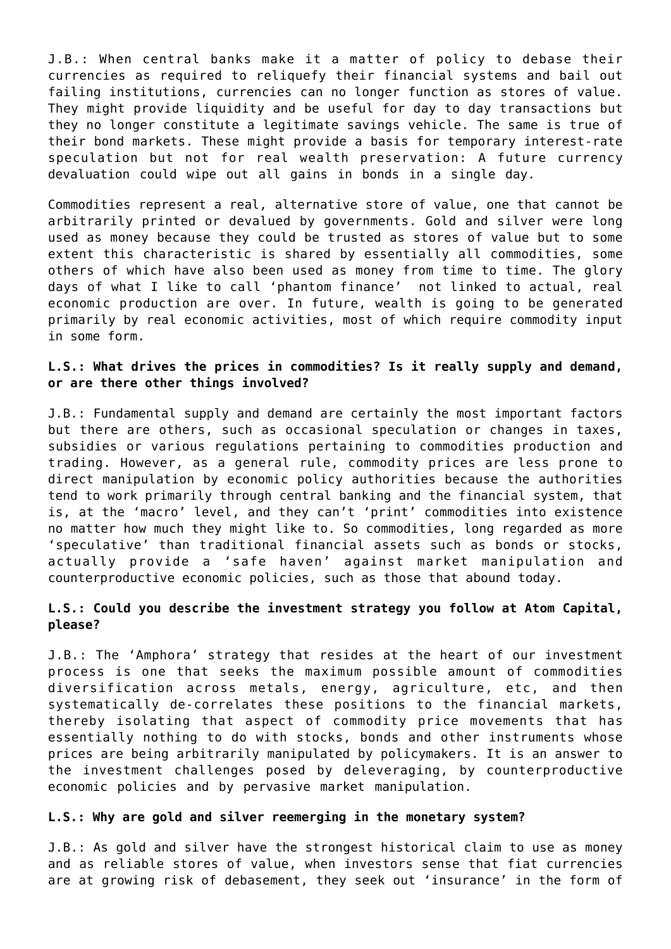J.B.: When central banks make it a matter of policy to debase their currencies as required to reliquefy their financial systems and bail out failing institutions, currencies can no longer function as stores of value. They might provide liquidity and be useful for day to day transactions but they no longer constitute a legitimate savings vehicle. The same is true of their bond markets. These might provide a basis for temporary interest-rate speculation but not for real wealth preservation: A future currency devaluation could wipe out all gains in bonds in a single day.

Commodities represent a real, alternative store of value, one that cannot be arbitrarily printed or devalued by governments. Gold and silver were long used as money because they could be trusted as stores of value but to some extent this characteristic is shared by essentially all commodities, some others of which have also been used as money from time to time. The glory days of what I like to call 'phantom finance' not linked to actual, real economic production are over. In future, wealth is going to be generated primarily by real economic activities, most of which require commodity input in some form.

# **L.S.: What drives the prices in commodities? Is it really supply and demand, or are there other things involved?**

J.B.: Fundamental supply and demand are certainly the most important factors but there are others, such as occasional speculation or changes in taxes, subsidies or various regulations pertaining to commodities production and trading. However, as a general rule, commodity prices are less prone to direct manipulation by economic policy authorities because the authorities tend to work primarily through central banking and the financial system, that is, at the 'macro' level, and they can't 'print' commodities into existence no matter how much they might like to. So commodities, long regarded as more 'speculative' than traditional financial assets such as bonds or stocks, actually provide a 'safe haven' against market manipulation and counterproductive economic policies, such as those that abound today.

## **L.S.: Could you describe the investment strategy you follow at Atom Capital, please?**

J.B.: The 'Amphora' strategy that resides at the heart of our investment process is one that seeks the maximum possible amount of commodities diversification across metals, energy, agriculture, etc, and then systematically de-correlates these positions to the financial markets, thereby isolating that aspect of commodity price movements that has essentially nothing to do with stocks, bonds and other instruments whose prices are being arbitrarily manipulated by policymakers. It is an answer to the investment challenges posed by deleveraging, by counterproductive economic policies and by pervasive market manipulation.

## **L.S.: Why are gold and silver reemerging in the monetary system?**

J.B.: As gold and silver have the strongest historical claim to use as money and as reliable stores of value, when investors sense that fiat currencies are at growing risk of debasement, they seek out 'insurance' in the form of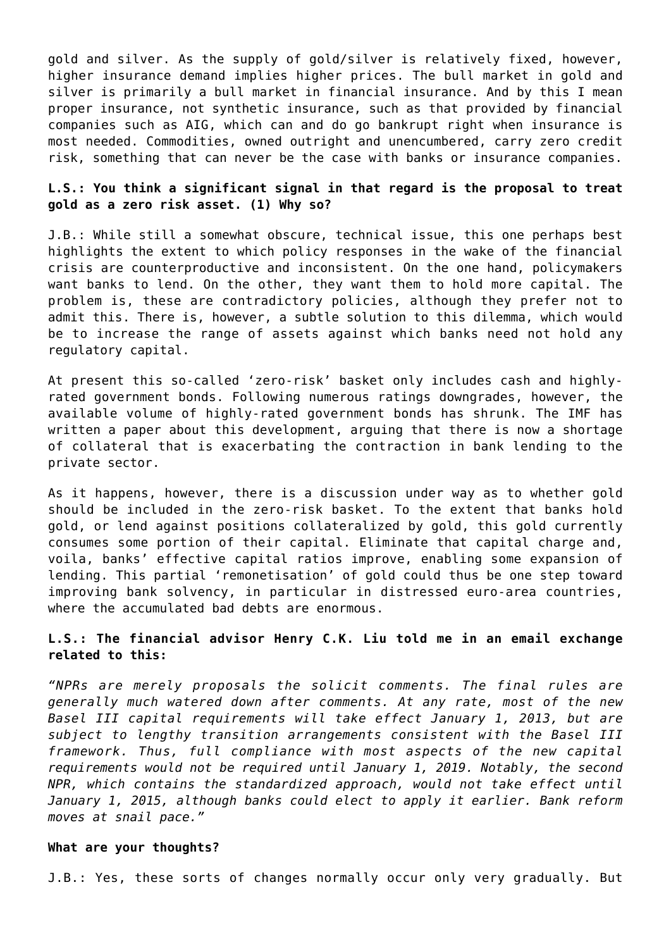gold and silver. As the supply of gold/silver is relatively fixed, however, higher insurance demand implies higher prices. The bull market in gold and silver is primarily a bull market in financial insurance. And by this I mean proper insurance, not synthetic insurance, such as that provided by financial companies such as AIG, which can and do go bankrupt right when insurance is most needed. Commodities, owned outright and unencumbered, carry zero credit risk, something that can never be the case with banks or insurance companies.

## **L.S.: You think a significant signal in that regard is the proposal to treat gold as a zero risk asset. (1) Why so?**

J.B.: While still a somewhat obscure, technical issue, this one perhaps best highlights the extent to which policy responses in the wake of the financial crisis are counterproductive and inconsistent. On the one hand, policymakers want banks to lend. On the other, they want them to hold more capital. The problem is, these are contradictory policies, although they prefer not to admit this. There is, however, a subtle solution to this dilemma, which would be to increase the range of assets against which banks need not hold any regulatory capital.

At present this so-called 'zero-risk' basket only includes cash and highlyrated government bonds. Following numerous ratings downgrades, however, the available volume of highly-rated government bonds has shrunk. The IMF has written a paper about this development, arguing that there is now a shortage of collateral that is exacerbating the contraction in bank lending to the private sector.

As it happens, however, there is a discussion under way as to whether gold should be included in the zero-risk basket. To the extent that banks hold gold, or lend against positions collateralized by gold, this gold currently consumes some portion of their capital. Eliminate that capital charge and, voila, banks' effective capital ratios improve, enabling some expansion of lending. This partial 'remonetisation' of gold could thus be one step toward improving bank solvency, in particular in distressed euro-area countries, where the accumulated bad debts are enormous.

# **L.S.: The financial advisor Henry C.K. Liu told me in an email exchange related to this:**

*"NPRs are merely proposals the solicit comments. The final rules are generally much watered down after comments. At any rate, most of the new Basel III capital requirements will take effect January 1, 2013, but are subject to lengthy transition arrangements consistent with the Basel III framework. Thus, full compliance with most aspects of the new capital requirements would not be required until January 1, 2019. Notably, the second NPR, which contains the standardized approach, would not take effect until January 1, 2015, although banks could elect to apply it earlier. Bank reform moves at snail pace."*

#### **What are your thoughts?**

J.B.: Yes, these sorts of changes normally occur only very gradually. But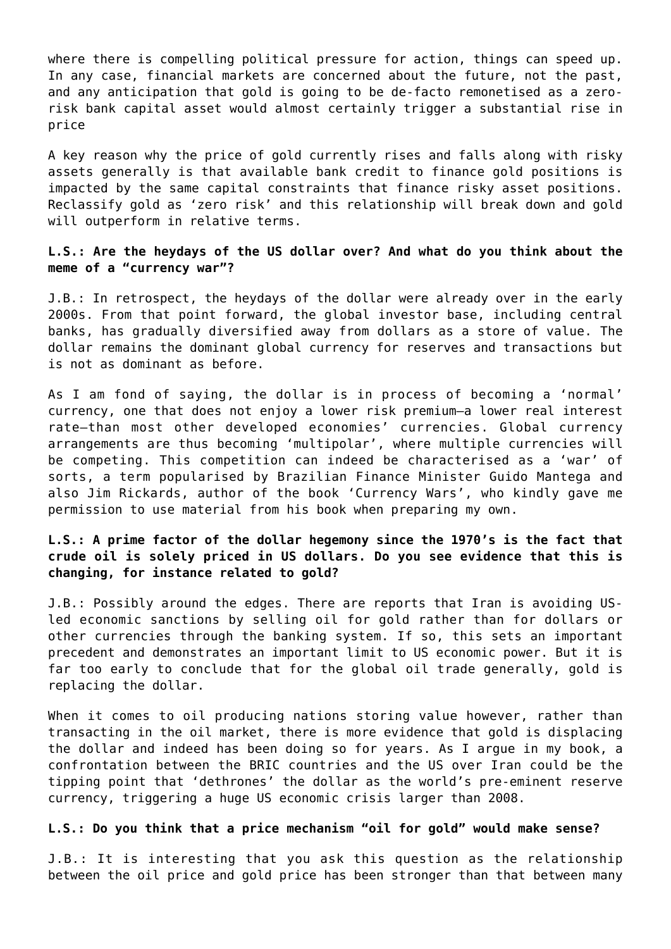where there is compelling political pressure for action, things can speed up. In any case, financial markets are concerned about the future, not the past, and any anticipation that gold is going to be de-facto remonetised as a zerorisk bank capital asset would almost certainly trigger a substantial rise in price

A key reason why the price of gold currently rises and falls along with risky assets generally is that available bank credit to finance gold positions is impacted by the same capital constraints that finance risky asset positions. Reclassify gold as 'zero risk' and this relationship will break down and gold will outperform in relative terms.

## **L.S.: Are the heydays of the US dollar over? And what do you think about the meme of a "currency war"?**

J.B.: In retrospect, the heydays of the dollar were already over in the early 2000s. From that point forward, the global investor base, including central banks, has gradually diversified away from dollars as a store of value. The dollar remains the dominant global currency for reserves and transactions but is not as dominant as before.

As I am fond of saying, the dollar is in process of becoming a 'normal' currency, one that does not enjoy a lower risk premium–a lower real interest rate–than most other developed economies' currencies. Global currency arrangements are thus becoming 'multipolar', where multiple currencies will be competing. This competition can indeed be characterised as a 'war' of sorts, a term popularised by Brazilian Finance Minister Guido Mantega and also Jim Rickards, author of the book 'Currency Wars', who kindly gave me permission to use material from his book when preparing my own.

# **L.S.: A prime factor of the dollar hegemony since the 1970's is the fact that crude oil is solely priced in US dollars. Do you see evidence that this is changing, for instance related to gold?**

J.B.: Possibly around the edges. There are reports that Iran is avoiding USled economic sanctions by selling oil for gold rather than for dollars or other currencies through the banking system. If so, this sets an important precedent and demonstrates an important limit to US economic power. But it is far too early to conclude that for the global oil trade generally, gold is replacing the dollar.

When it comes to oil producing nations storing value however, rather than transacting in the oil market, there is more evidence that gold is displacing the dollar and indeed has been doing so for years. As I argue in my book, a confrontation between the BRIC countries and the US over Iran could be the tipping point that 'dethrones' the dollar as the world's pre-eminent reserve currency, triggering a huge US economic crisis larger than 2008.

## **L.S.: Do you think that a price mechanism "oil for gold" would make sense?**

J.B.: It is interesting that you ask this question as the relationship between the oil price and gold price has been stronger than that between many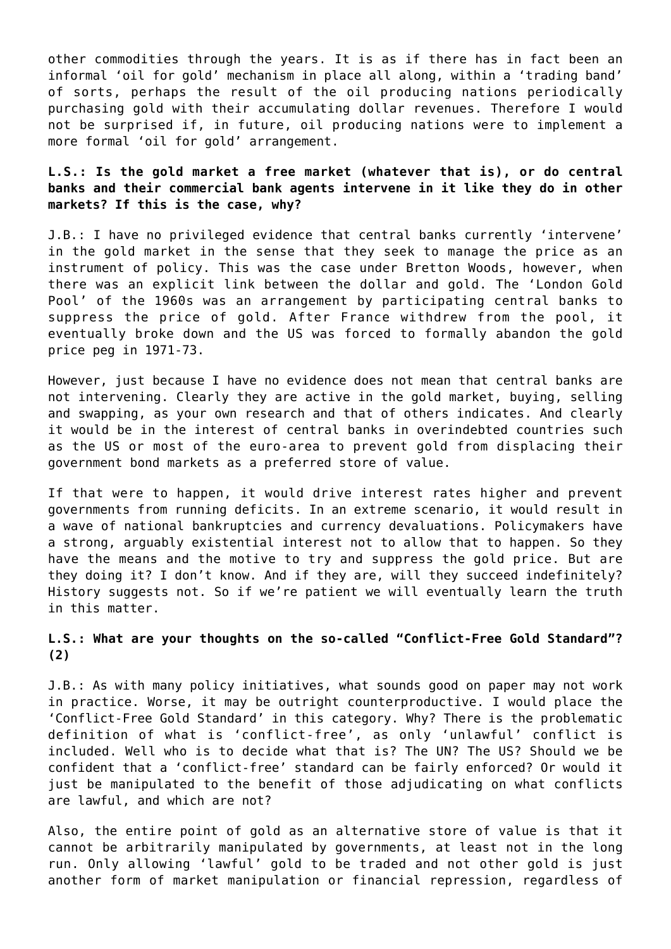other commodities through the years. It is as if there has in fact been an informal 'oil for gold' mechanism in place all along, within a 'trading band' of sorts, perhaps the result of the oil producing nations periodically purchasing gold with their accumulating dollar revenues. Therefore I would not be surprised if, in future, oil producing nations were to implement a more formal 'oil for gold' arrangement.

# **L.S.: Is the gold market a free market (whatever that is), or do central banks and their commercial bank agents intervene in it like they do in other markets? If this is the case, why?**

J.B.: I have no privileged evidence that central banks currently 'intervene' in the gold market in the sense that they seek to manage the price as an instrument of policy. This was the case under Bretton Woods, however, when there was an explicit link between the dollar and gold. The 'London Gold Pool' of the 1960s was an arrangement by participating central banks to suppress the price of gold. After France withdrew from the pool, it eventually broke down and the US was forced to formally abandon the gold price peg in 1971-73.

However, just because I have no evidence does not mean that central banks are not intervening. Clearly they are active in the gold market, buying, selling and swapping, as your own research and that of others indicates. And clearly it would be in the interest of central banks in overindebted countries such as the US or most of the euro-area to prevent gold from displacing their government bond markets as a preferred store of value.

If that were to happen, it would drive interest rates higher and prevent governments from running deficits. In an extreme scenario, it would result in a wave of national bankruptcies and currency devaluations. Policymakers have a strong, arguably existential interest not to allow that to happen. So they have the means and the motive to try and suppress the gold price. But are they doing it? I don't know. And if they are, will they succeed indefinitely? History suggests not. So if we're patient we will eventually learn the truth in this matter.

## **L.S.: What are your thoughts on the so-called "Conflict-Free Gold Standard"? (2)**

J.B.: As with many policy initiatives, what sounds good on paper may not work in practice. Worse, it may be outright counterproductive. I would place the 'Conflict-Free Gold Standard' in this category. Why? There is the problematic definition of what is 'conflict-free', as only 'unlawful' conflict is included. Well who is to decide what that is? The UN? The US? Should we be confident that a 'conflict-free' standard can be fairly enforced? Or would it just be manipulated to the benefit of those adjudicating on what conflicts are lawful, and which are not?

Also, the entire point of gold as an alternative store of value is that it cannot be arbitrarily manipulated by governments, at least not in the long run. Only allowing 'lawful' gold to be traded and not other gold is just another form of market manipulation or financial repression, regardless of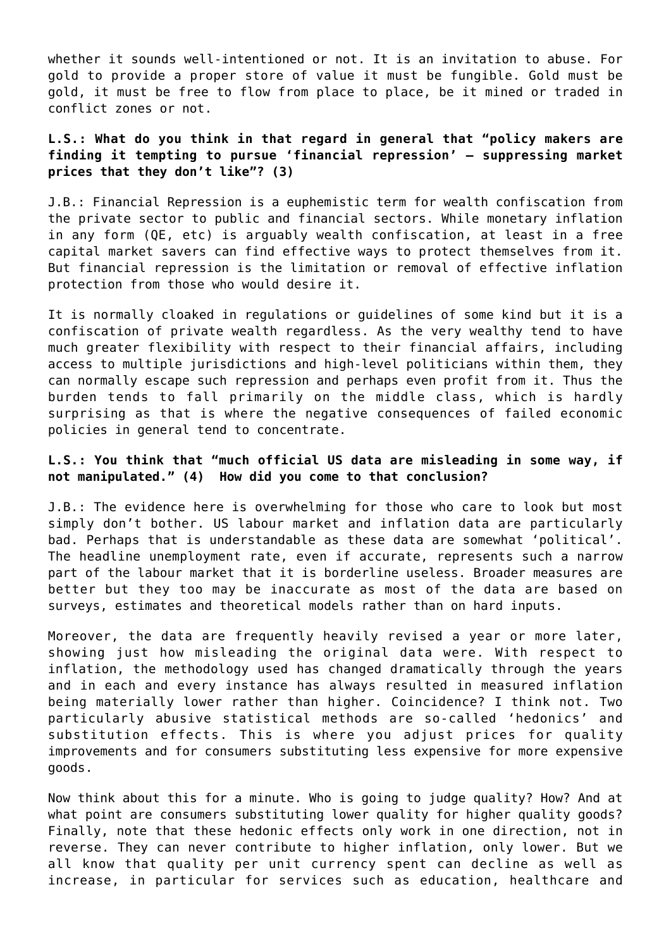whether it sounds well-intentioned or not. It is an invitation to abuse. For gold to provide a proper store of value it must be fungible. Gold must be gold, it must be free to flow from place to place, be it mined or traded in conflict zones or not.

# **L.S.: What do you think in that regard in general that "policy makers are finding it tempting to pursue 'financial repression' — suppressing market prices that they don't like"? (3)**

J.B.: Financial Repression is a euphemistic term for wealth confiscation from the private sector to public and financial sectors. While monetary inflation in any form (QE, etc) is arguably wealth confiscation, at least in a free capital market savers can find effective ways to protect themselves from it. But financial repression is the limitation or removal of effective inflation protection from those who would desire it.

It is normally cloaked in regulations or guidelines of some kind but it is a confiscation of private wealth regardless. As the very wealthy tend to have much greater flexibility with respect to their financial affairs, including access to multiple jurisdictions and high-level politicians within them, they can normally escape such repression and perhaps even profit from it. Thus the burden tends to fall primarily on the middle class, which is hardly surprising as that is where the negative consequences of failed economic policies in general tend to concentrate.

## **L.S.: You think that "much official US data are misleading in some way, if not manipulated." (4) How did you come to that conclusion?**

J.B.: The evidence here is overwhelming for those who care to look but most simply don't bother. US labour market and inflation data are particularly bad. Perhaps that is understandable as these data are somewhat 'political'. The headline unemployment rate, even if accurate, represents such a narrow part of the labour market that it is borderline useless. Broader measures are better but they too may be inaccurate as most of the data are based on surveys, estimates and theoretical models rather than on hard inputs.

Moreover, the data are frequently heavily revised a year or more later, showing just how misleading the original data were. With respect to inflation, the methodology used has changed dramatically through the years and in each and every instance has always resulted in measured inflation being materially lower rather than higher. Coincidence? I think not. Two particularly abusive statistical methods are so-called 'hedonics' and substitution effects. This is where you adjust prices for quality improvements and for consumers substituting less expensive for more expensive goods.

Now think about this for a minute. Who is going to judge quality? How? And at what point are consumers substituting lower quality for higher quality goods? Finally, note that these hedonic effects only work in one direction, not in reverse. They can never contribute to higher inflation, only lower. But we all know that quality per unit currency spent can decline as well as increase, in particular for services such as education, healthcare and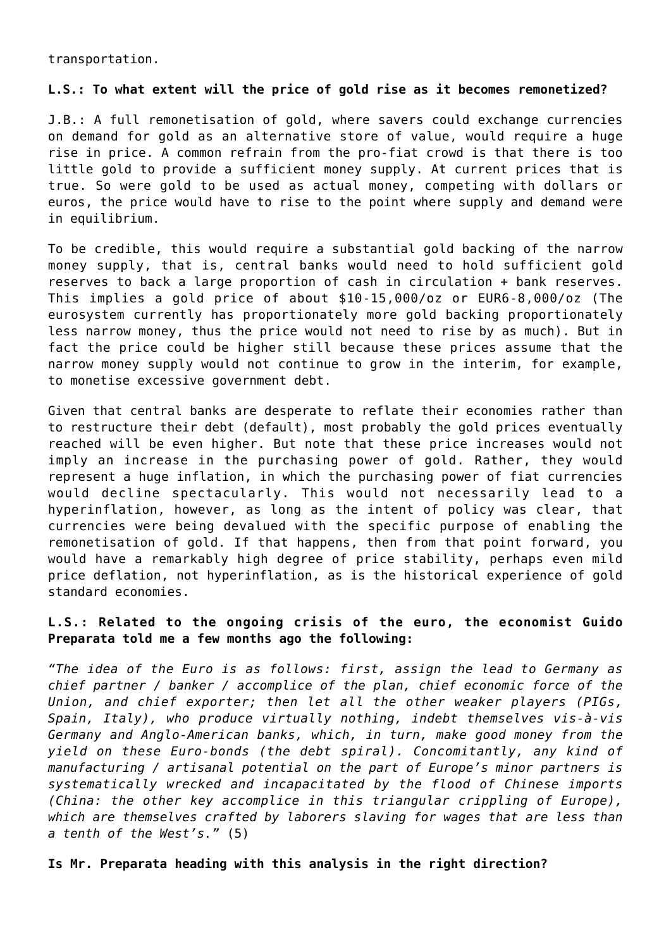transportation.

## **L.S.: To what extent will the price of gold rise as it becomes remonetized?**

J.B.: A full remonetisation of gold, where savers could exchange currencies on demand for gold as an alternative store of value, would require a huge rise in price. A common refrain from the pro-fiat crowd is that there is too little gold to provide a sufficient money supply. At current prices that is true. So were gold to be used as actual money, competing with dollars or euros, the price would have to rise to the point where supply and demand were in equilibrium.

To be credible, this would require a substantial gold backing of the narrow money supply, that is, central banks would need to hold sufficient gold reserves to back a large proportion of cash in circulation + bank reserves. This implies a gold price of about \$10-15,000/oz or EUR6-8,000/oz (The eurosystem currently has proportionately more gold backing proportionately less narrow money, thus the price would not need to rise by as much). But in fact the price could be higher still because these prices assume that the narrow money supply would not continue to grow in the interim, for example, to monetise excessive government debt.

Given that central banks are desperate to reflate their economies rather than to restructure their debt (default), most probably the gold prices eventually reached will be even higher. But note that these price increases would not imply an increase in the purchasing power of gold. Rather, they would represent a huge inflation, in which the purchasing power of fiat currencies would decline spectacularly. This would not necessarily lead to a hyperinflation, however, as long as the intent of policy was clear, that currencies were being devalued with the specific purpose of enabling the remonetisation of gold. If that happens, then from that point forward, you would have a remarkably high degree of price stability, perhaps even mild price deflation, not hyperinflation, as is the historical experience of gold standard economies.

# **L.S.: Related to the ongoing crisis of the euro, the economist Guido Preparata told me a few months ago the following:**

*"The idea of the Euro is as follows: first, assign the lead to Germany as chief partner / banker / accomplice of the plan, chief economic force of the Union, and chief exporter; then let all the other weaker players (PIGs, Spain, Italy), who produce virtually nothing, indebt themselves vis-à-vis Germany and Anglo-American banks, which, in turn, make good money from the yield on these Euro-bonds (the debt spiral). Concomitantly, any kind of manufacturing / artisanal potential on the part of Europe's minor partners is systematically wrecked and incapacitated by the flood of Chinese imports (China: the other key accomplice in this triangular crippling of Europe), which are themselves crafted by laborers slaving for wages that are less than a tenth of the West's."* (5)

# **Is Mr. Preparata heading with this analysis in the right direction?**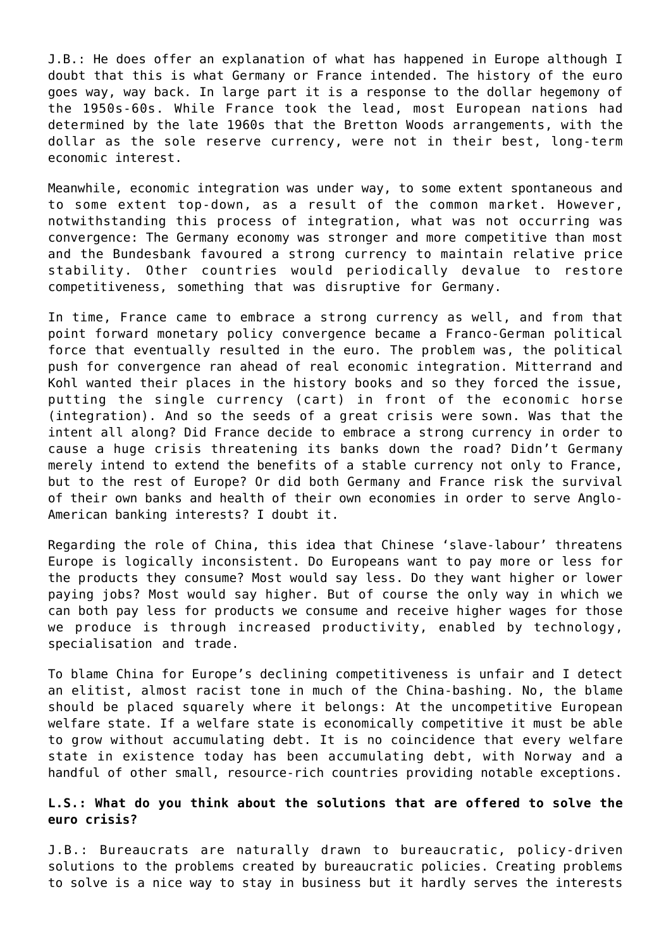J.B.: He does offer an explanation of what has happened in Europe although I doubt that this is what Germany or France intended. The history of the euro goes way, way back. In large part it is a response to the dollar hegemony of the 1950s-60s. While France took the lead, most European nations had determined by the late 1960s that the Bretton Woods arrangements, with the dollar as the sole reserve currency, were not in their best, long-term economic interest.

Meanwhile, economic integration was under way, to some extent spontaneous and to some extent top-down, as a result of the common market. However, notwithstanding this process of integration, what was not occurring was convergence: The Germany economy was stronger and more competitive than most and the Bundesbank favoured a strong currency to maintain relative price stability. Other countries would periodically devalue to restore competitiveness, something that was disruptive for Germany.

In time, France came to embrace a strong currency as well, and from that point forward monetary policy convergence became a Franco-German political force that eventually resulted in the euro. The problem was, the political push for convergence ran ahead of real economic integration. Mitterrand and Kohl wanted their places in the history books and so they forced the issue, putting the single currency (cart) in front of the economic horse (integration). And so the seeds of a great crisis were sown. Was that the intent all along? Did France decide to embrace a strong currency in order to cause a huge crisis threatening its banks down the road? Didn't Germany merely intend to extend the benefits of a stable currency not only to France, but to the rest of Europe? Or did both Germany and France risk the survival of their own banks and health of their own economies in order to serve Anglo-American banking interests? I doubt it.

Regarding the role of China, this idea that Chinese 'slave-labour' threatens Europe is logically inconsistent. Do Europeans want to pay more or less for the products they consume? Most would say less. Do they want higher or lower paying jobs? Most would say higher. But of course the only way in which we can both pay less for products we consume and receive higher wages for those we produce is through increased productivity, enabled by technology, specialisation and trade.

To blame China for Europe's declining competitiveness is unfair and I detect an elitist, almost racist tone in much of the China-bashing. No, the blame should be placed squarely where it belongs: At the uncompetitive European welfare state. If a welfare state is economically competitive it must be able to grow without accumulating debt. It is no coincidence that every welfare state in existence today has been accumulating debt, with Norway and a handful of other small, resource-rich countries providing notable exceptions.

## **L.S.: What do you think about the solutions that are offered to solve the euro crisis?**

J.B.: Bureaucrats are naturally drawn to bureaucratic, policy-driven solutions to the problems created by bureaucratic policies. Creating problems to solve is a nice way to stay in business but it hardly serves the interests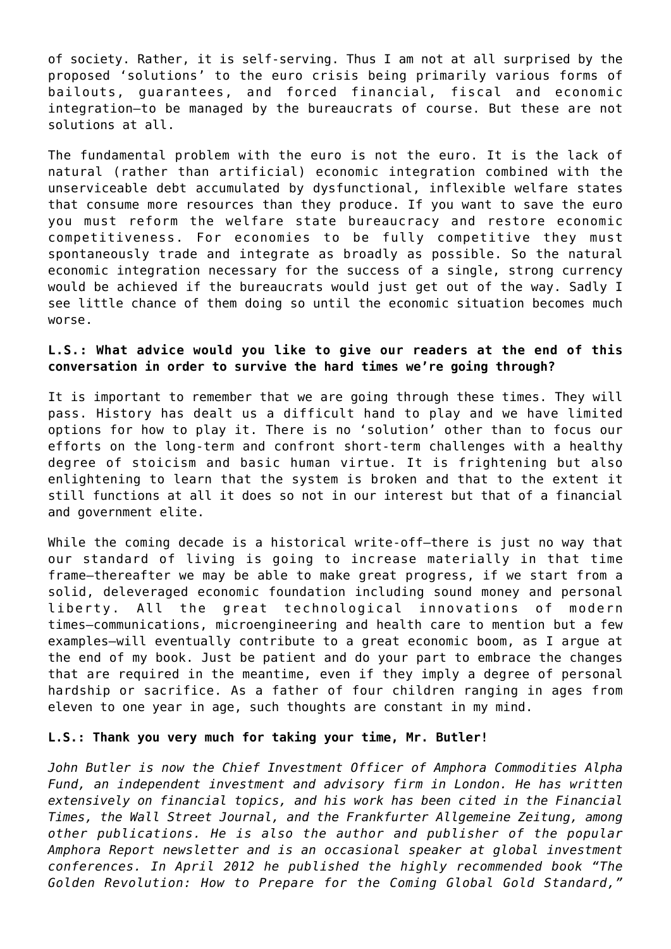of society. Rather, it is self-serving. Thus I am not at all surprised by the proposed 'solutions' to the euro crisis being primarily various forms of bailouts, guarantees, and forced financial, fiscal and economic integration–to be managed by the bureaucrats of course. But these are not solutions at all.

The fundamental problem with the euro is not the euro. It is the lack of natural (rather than artificial) economic integration combined with the unserviceable debt accumulated by dysfunctional, inflexible welfare states that consume more resources than they produce. If you want to save the euro you must reform the welfare state bureaucracy and restore economic competitiveness. For economies to be fully competitive they must spontaneously trade and integrate as broadly as possible. So the natural economic integration necessary for the success of a single, strong currency would be achieved if the bureaucrats would just get out of the way. Sadly I see little chance of them doing so until the economic situation becomes much worse.

## **L.S.: What advice would you like to give our readers at the end of this conversation in order to survive the hard times we're going through?**

It is important to remember that we are going through these times. They will pass. History has dealt us a difficult hand to play and we have limited options for how to play it. There is no 'solution' other than to focus our efforts on the long-term and confront short-term challenges with a healthy degree of stoicism and basic human virtue. It is frightening but also enlightening to learn that the system is broken and that to the extent it still functions at all it does so not in our interest but that of a financial and government elite.

While the coming decade is a historical write-off–there is just no way that our standard of living is going to increase materially in that time frame–thereafter we may be able to make great progress, if we start from a solid, deleveraged economic foundation including sound money and personal liberty. All the great technological innovations of modern times–communications, microengineering and health care to mention but a few examples–will eventually contribute to a great economic boom, as I argue at the end of my book. Just be patient and do your part to embrace the changes that are required in the meantime, even if they imply a degree of personal hardship or sacrifice. As a father of four children ranging in ages from eleven to one year in age, such thoughts are constant in my mind.

## **L.S.: Thank you very much for taking your time, Mr. Butler!**

*John Butler is now the Chief Investment Officer of Amphora Commodities Alpha Fund, an independent investment and advisory firm in London. He has written extensively on financial topics, and his work has been cited in the Financial Times, the Wall Street Journal, and the Frankfurter Allgemeine Zeitung, among other publications. He is also the author and publisher of the popular Amphora Report newsletter and is an occasional speaker at global investment conferences. In April 2012 he published the highly recommended book "The Golden Revolution: How to Prepare for the Coming Global Gold Standard,"*